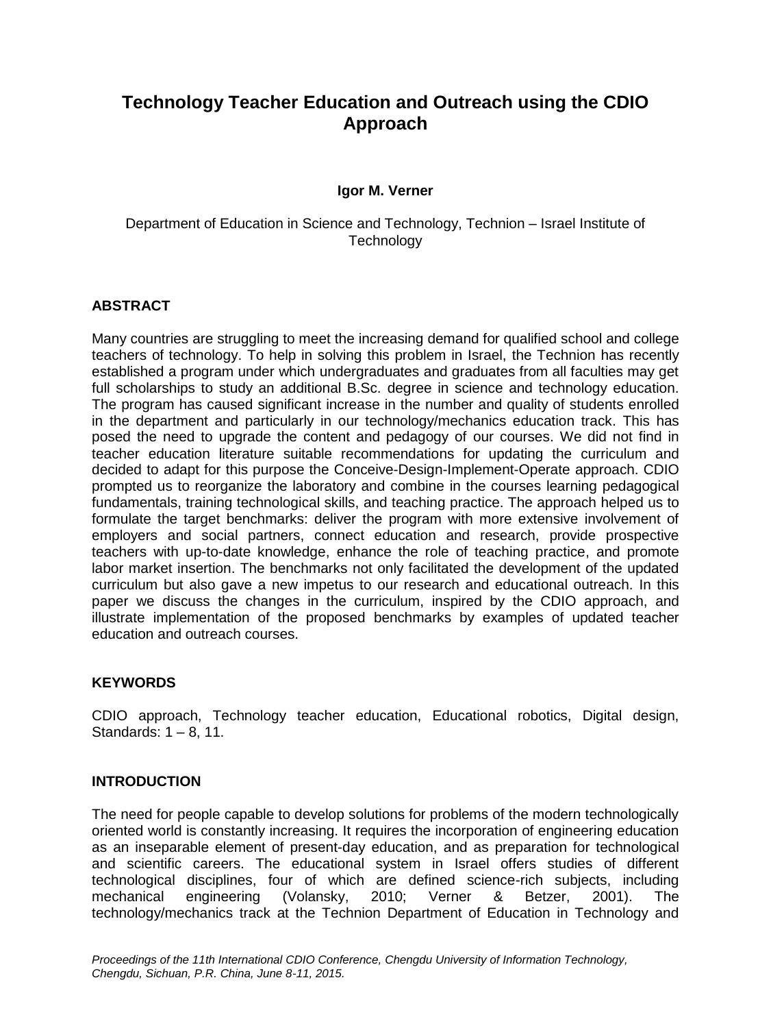# **Technology Teacher Education and Outreach using the CDIO Approach**

## **Igor M. Verner**

Department of Education in Science and Technology, Technion – Israel Institute of **Technology** 

### **ABSTRACT**

Many countries are struggling to meet the increasing demand for qualified school and college teachers of technology. To help in solving this problem in Israel, the Technion has recently established a program under which undergraduates and graduates from all faculties may get full scholarships to study an additional B.Sc. degree in science and technology education. The program has caused significant increase in the number and quality of students enrolled in the department and particularly in our technology/mechanics education track. This has posed the need to upgrade the content and pedagogy of our courses. We did not find in teacher education literature suitable recommendations for updating the curriculum and decided to adapt for this purpose the Conceive-Design-Implement-Operate approach. CDIO prompted us to reorganize the laboratory and combine in the courses learning pedagogical fundamentals, training technological skills, and teaching practice. The approach helped us to formulate the target benchmarks: deliver the program with more extensive involvement of employers and social partners, connect education and research, provide prospective teachers with up-to-date knowledge, enhance the role of teaching practice, and promote labor market insertion. The benchmarks not only facilitated the development of the updated curriculum but also gave a new impetus to our research and educational outreach. In this paper we discuss the changes in the curriculum, inspired by the CDIO approach, and illustrate implementation of the proposed benchmarks by examples of updated teacher education and outreach courses.

### **KEYWORDS**

CDIO approach, Technology teacher education, Educational robotics, Digital design, Standards: 1 – 8, 11.

### **INTRODUCTION**

The need for people capable to develop solutions for problems of the modern technologically oriented world is constantly increasing. It requires the incorporation of engineering education as an inseparable element of present-day education, and as preparation for technological and scientific careers. The educational system in Israel offers studies of different technological disciplines, four of which are defined science-rich subjects, including mechanical engineering (Volansky, 2010; Verner & Betzer, 2001). The technology/mechanics track at the Technion Department of Education in Technology and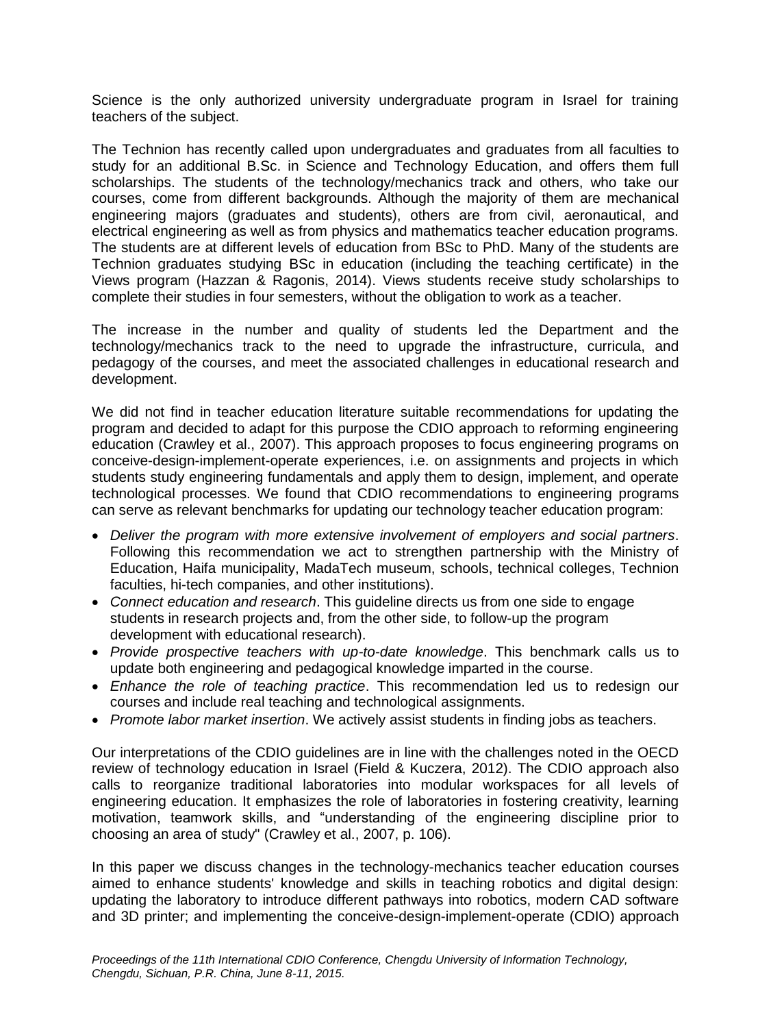Science is the only authorized university undergraduate program in Israel for training teachers of the subject.

The Technion has recently called upon undergraduates and graduates from all faculties to study for an additional B.Sc. in Science and Technology Education, and offers them full scholarships. The students of the technology/mechanics track and others, who take our courses, come from different backgrounds. Although the majority of them are mechanical engineering majors (graduates and students), others are from civil, aeronautical, and electrical engineering as well as from physics and mathematics teacher education programs. The students are at different levels of education from BSc to PhD. Many of the students are Technion graduates studying BSc in education (including the teaching certificate) in the Views program (Hazzan & Ragonis, 2014). Views students receive study scholarships to complete their studies in four semesters, without the obligation to work as a teacher.

The increase in the number and quality of students led the Department and the technology/mechanics track to the need to upgrade the infrastructure, curricula, and pedagogy of the courses, and meet the associated challenges in educational research and development.

We did not find in teacher education literature suitable recommendations for updating the program and decided to adapt for this purpose the CDIO approach to reforming engineering education (Crawley et al., 2007). This approach proposes to focus engineering programs on conceive-design-implement-operate experiences, i.e. on assignments and projects in which students study engineering fundamentals and apply them to design, implement, and operate technological processes. We found that CDIO recommendations to engineering programs can serve as relevant benchmarks for updating our technology teacher education program:

- *Deliver the program with more extensive involvement of employers and social partners*. Following this recommendation we act to strengthen partnership with the Ministry of Education, Haifa municipality, MadaTech museum, schools, technical colleges, Technion faculties, hi-tech companies, and other institutions).
- *Connect education and research*. This guideline directs us from one side to engage students in research projects and, from the other side, to follow-up the program development with educational research).
- *Provide prospective teachers with up-to-date knowledge*. This benchmark calls us to update both engineering and pedagogical knowledge imparted in the course.
- *Enhance the role of teaching practice*. This recommendation led us to redesign our courses and include real teaching and technological assignments.
- *Promote labor market insertion*. We actively assist students in finding jobs as teachers.

Our interpretations of the CDIO guidelines are in line with the challenges noted in the OECD review of technology education in Israel (Field & Kuczera, 2012). The CDIO approach also calls to reorganize traditional laboratories into modular workspaces for all levels of engineering education. It emphasizes the role of laboratories in fostering creativity, learning motivation, teamwork skills, and "understanding of the engineering discipline prior to choosing an area of study" (Crawley et al., 2007, p. 106).

In this paper we discuss changes in the technology-mechanics teacher education courses aimed to enhance students' knowledge and skills in teaching robotics and digital design: updating the laboratory to introduce different pathways into robotics, modern CAD software and 3D printer; and implementing the conceive-design-implement-operate (CDIO) approach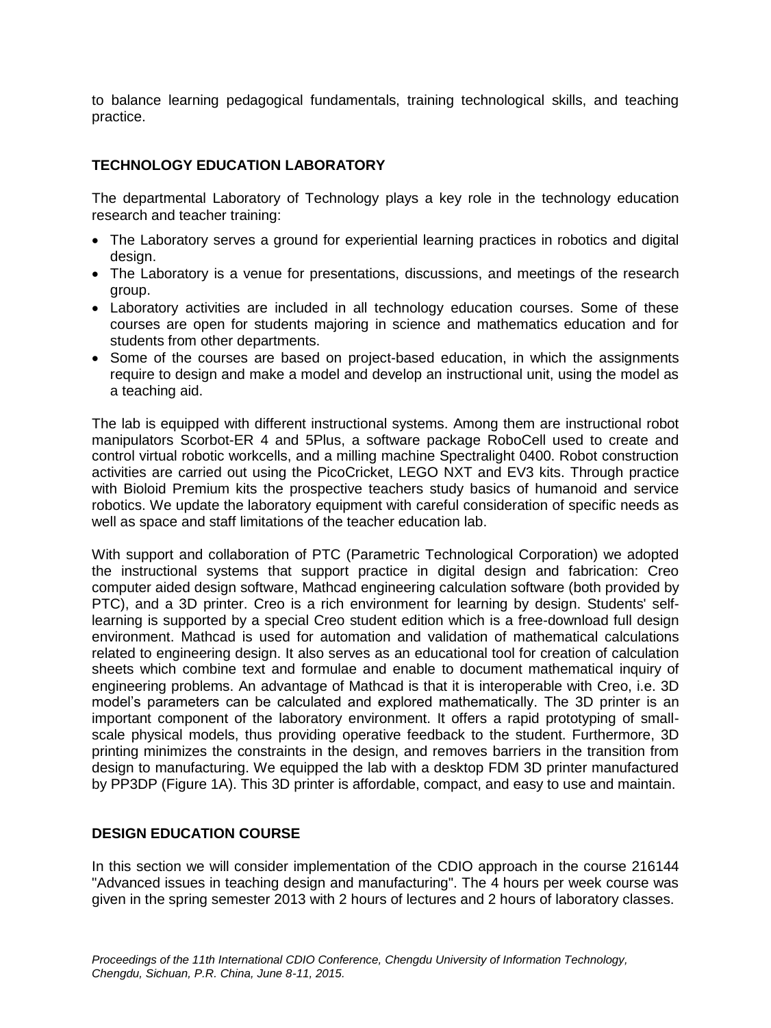to balance learning pedagogical fundamentals, training technological skills, and teaching practice.

# **TECHNOLOGY EDUCATION LABORATORY**

The departmental Laboratory of Technology plays a key role in the technology education research and teacher training:

- The Laboratory serves a ground for experiential learning practices in robotics and digital design.
- The Laboratory is a venue for presentations, discussions, and meetings of the research group.
- Laboratory activities are included in all technology education courses. Some of these courses are open for students majoring in science and mathematics education and for students from other departments.
- Some of the courses are based on project-based education, in which the assignments require to design and make a model and develop an instructional unit, using the model as a teaching aid.

The lab is equipped with different instructional systems. Among them are instructional robot manipulators Scorbot-ER 4 and 5Plus, a software package RoboCell used to create and control virtual robotic workcells, and a milling machine Spectralight 0400. Robot construction activities are carried out using the PicoCricket, LEGO NXT and EV3 kits. Through practice with Bioloid Premium kits the prospective teachers study basics of humanoid and service robotics. We update the laboratory equipment with careful consideration of specific needs as well as space and staff limitations of the teacher education lab.

With support and collaboration of PTC (Parametric Technological Corporation) we adopted the instructional systems that support practice in digital design and fabrication: Creo computer aided design software, Mathcad engineering calculation software (both provided by PTC), and a 3D printer. Creo is a rich environment for learning by design. Students' selflearning is supported by a special Creo student edition which is a free-download full design environment. Mathcad is used for automation and validation of mathematical calculations related to engineering design. It also serves as an educational tool for creation of calculation sheets which combine text and formulae and enable to document mathematical inquiry of engineering problems. An advantage of Mathcad is that it is interoperable with Creo, i.e. 3D model's parameters can be calculated and explored mathematically. The 3D printer is an important component of the laboratory environment. It offers a rapid prototyping of smallscale physical models, thus providing operative feedback to the student. Furthermore, 3D printing minimizes the constraints in the design, and removes barriers in the transition from design to manufacturing. We equipped the lab with a desktop FDM 3D printer manufactured by PP3DP (Figure 1A). This 3D printer is affordable, compact, and easy to use and maintain.

# **DESIGN EDUCATION COURSE**

In this section we will consider implementation of the CDIO approach in the course 216144 "Advanced issues in teaching design and manufacturing". The 4 hours per week course was given in the spring semester 2013 with 2 hours of lectures and 2 hours of laboratory classes.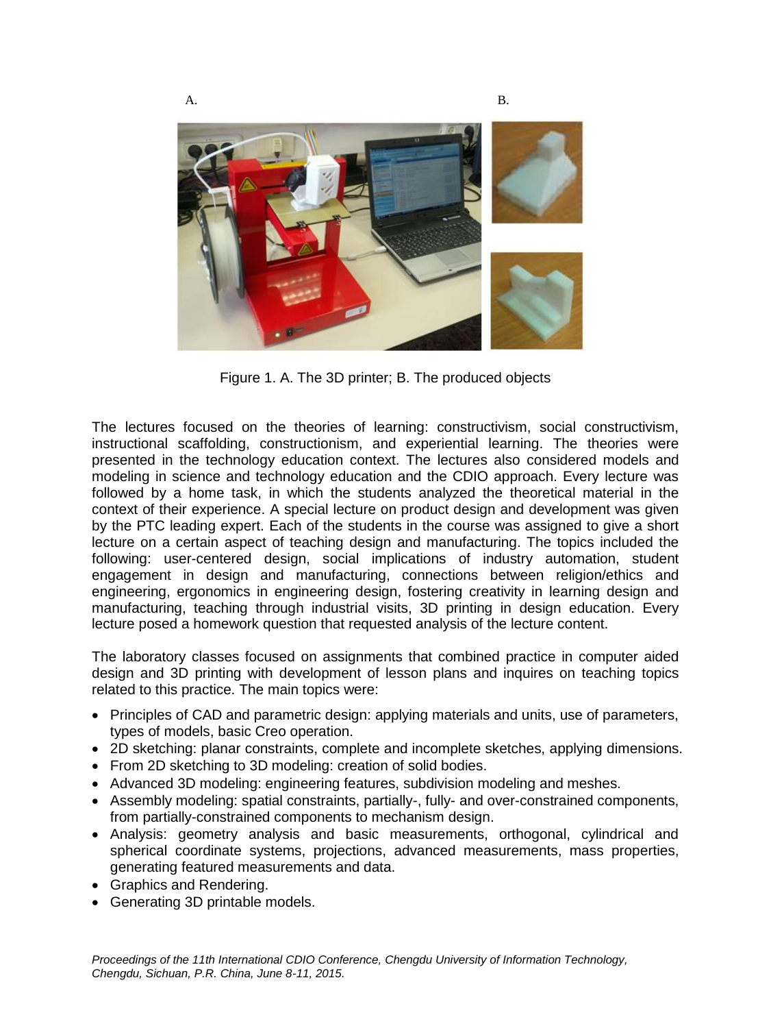

Figure 1. A. The 3D printer; B. The produced objects

The lectures focused on the theories of learning: constructivism, social constructivism, instructional scaffolding, constructionism, and experiential learning. The theories were presented in the technology education context. The lectures also considered models and modeling in science and technology education and the CDIO approach. Every lecture was followed by a home task, in which the students analyzed the theoretical material in the context of their experience. A special lecture on product design and development was given by the PTC leading expert. Each of the students in the course was assigned to give a short lecture on a certain aspect of teaching design and manufacturing. The topics included the following: user-centered design, social implications of industry automation, student engagement in design and manufacturing, connections between religion/ethics and engineering, ergonomics in engineering design, fostering creativity in learning design and manufacturing, teaching through industrial visits, 3D printing in design education. Every lecture posed a homework question that requested analysis of the lecture content.

The laboratory classes focused on assignments that combined practice in computer aided design and 3D printing with development of lesson plans and inquires on teaching topics related to this practice. The main topics were:

- Principles of CAD and parametric design: applying materials and units, use of parameters, types of models, basic Creo operation.
- 2D sketching: planar constraints, complete and incomplete sketches, applying dimensions.
- From 2D sketching to 3D modeling: creation of solid bodies.
- Advanced 3D modeling: engineering features, subdivision modeling and meshes.
- Assembly modeling: spatial constraints, partially-, fully- and over-constrained components, from partially-constrained components to mechanism design.
- Analysis: geometry analysis and basic measurements, orthogonal, cylindrical and spherical coordinate systems, projections, advanced measurements, mass properties, generating featured measurements and data.
- Graphics and Rendering.
- Generating 3D printable models.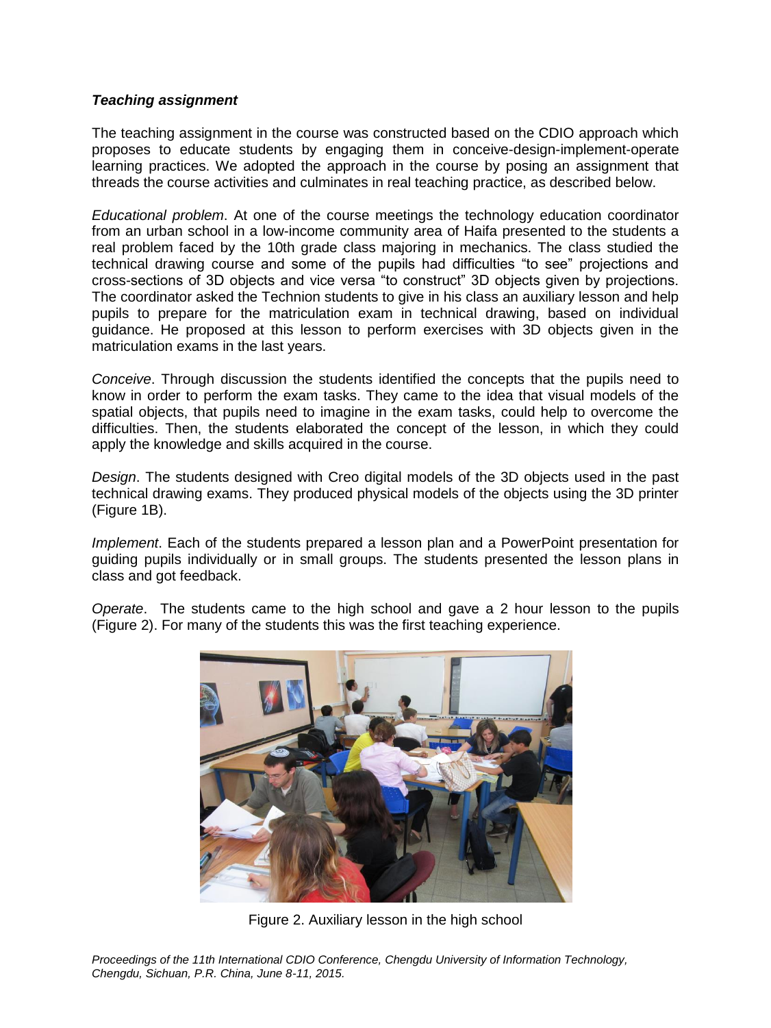#### *Teaching assignment*

The teaching assignment in the course was constructed based on the CDIO approach which proposes to educate students by engaging them in conceive-design-implement-operate learning practices. We adopted the approach in the course by posing an assignment that threads the course activities and culminates in real teaching practice, as described below.

*Educational problem*. At one of the course meetings the technology education coordinator from an urban school in a low-income community area of Haifa presented to the students a real problem faced by the 10th grade class majoring in mechanics. The class studied the technical drawing course and some of the pupils had difficulties "to see" projections and cross-sections of 3D objects and vice versa "to construct" 3D objects given by projections. The coordinator asked the Technion students to give in his class an auxiliary lesson and help pupils to prepare for the matriculation exam in technical drawing, based on individual guidance. He proposed at this lesson to perform exercises with 3D objects given in the matriculation exams in the last years.

*Conceive*. Through discussion the students identified the concepts that the pupils need to know in order to perform the exam tasks. They came to the idea that visual models of the spatial objects, that pupils need to imagine in the exam tasks, could help to overcome the difficulties. Then, the students elaborated the concept of the lesson, in which they could apply the knowledge and skills acquired in the course.

*Design*. The students designed with Creo digital models of the 3D objects used in the past technical drawing exams. They produced physical models of the objects using the 3D printer (Figure 1B).

*Implement*. Each of the students prepared a lesson plan and a PowerPoint presentation for guiding pupils individually or in small groups. The students presented the lesson plans in class and got feedback.

*Operate*. The students came to the high school and gave a 2 hour lesson to the pupils (Figure 2). For many of the students this was the first teaching experience.



Figure 2. Auxiliary lesson in the high school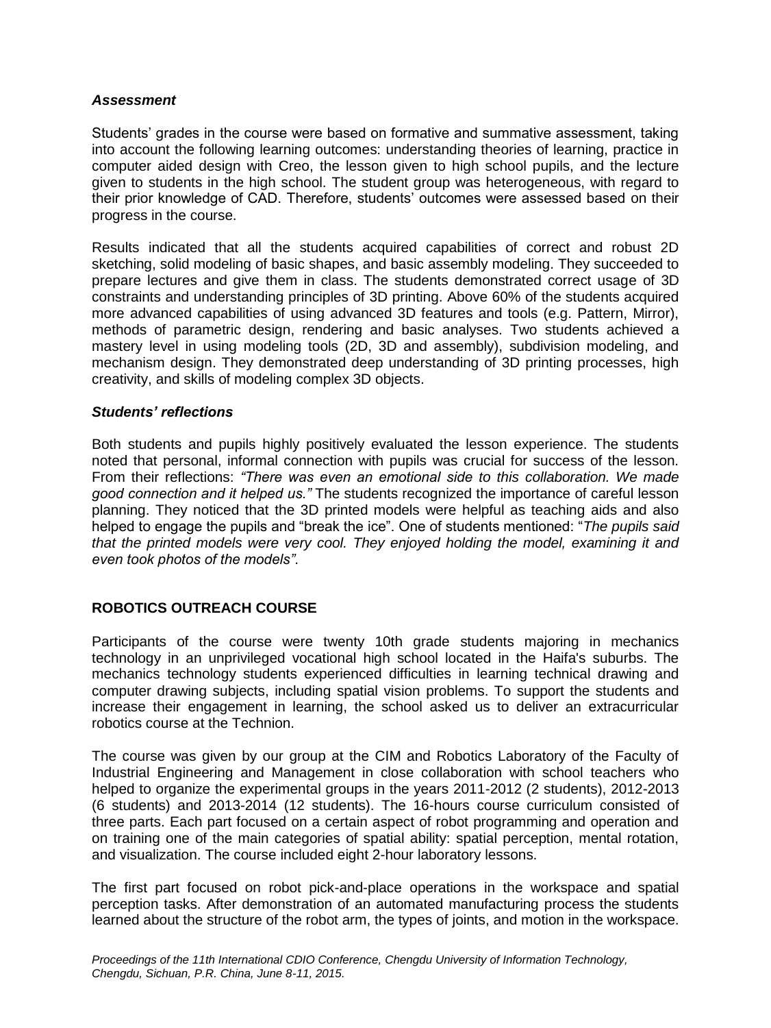#### *Assessment*

Students' grades in the course were based on formative and summative assessment, taking into account the following learning outcomes: understanding theories of learning, practice in computer aided design with Creo, the lesson given to high school pupils, and the lecture given to students in the high school. The student group was heterogeneous, with regard to their prior knowledge of CAD. Therefore, students' outcomes were assessed based on their progress in the course.

Results indicated that all the students acquired capabilities of correct and robust 2D sketching, solid modeling of basic shapes, and basic assembly modeling. They succeeded to prepare lectures and give them in class. The students demonstrated correct usage of 3D constraints and understanding principles of 3D printing. Above 60% of the students acquired more advanced capabilities of using advanced 3D features and tools (e.g. Pattern, Mirror), methods of parametric design, rendering and basic analyses. Two students achieved a mastery level in using modeling tools (2D, 3D and assembly), subdivision modeling, and mechanism design. They demonstrated deep understanding of 3D printing processes, high creativity, and skills of modeling complex 3D objects.

#### *Students' reflections*

Both students and pupils highly positively evaluated the lesson experience. The students noted that personal, informal connection with pupils was crucial for success of the lesson. From their reflections: *"There was even an emotional side to this collaboration. We made good connection and it helped us."* The students recognized the importance of careful lesson planning. They noticed that the 3D printed models were helpful as teaching aids and also helped to engage the pupils and "break the ice". One of students mentioned: "*The pupils said that the printed models were very cool. They enjoyed holding the model, examining it and even took photos of the models"*.

### **ROBOTICS OUTREACH COURSE**

Participants of the course were twenty 10th grade students majoring in mechanics technology in an unprivileged vocational high school located in the Haifa's suburbs. The mechanics technology students experienced difficulties in learning technical drawing and computer drawing subjects, including spatial vision problems. To support the students and increase their engagement in learning, the school asked us to deliver an extracurricular robotics course at the Technion.

The course was given by our group at the CIM and Robotics Laboratory of the Faculty of Industrial Engineering and Management in close collaboration with school teachers who helped to organize the experimental groups in the years 2011-2012 (2 students), 2012-2013 (6 students) and 2013-2014 (12 students). The 16-hours course curriculum consisted of three parts. Each part focused on a certain aspect of robot programming and operation and on training one of the main categories of spatial ability: spatial perception, mental rotation, and visualization. The course included eight 2-hour laboratory lessons.

The first part focused on robot pick-and-place operations in the workspace and spatial perception tasks. After demonstration of an automated manufacturing process the students learned about the structure of the robot arm, the types of joints, and motion in the workspace.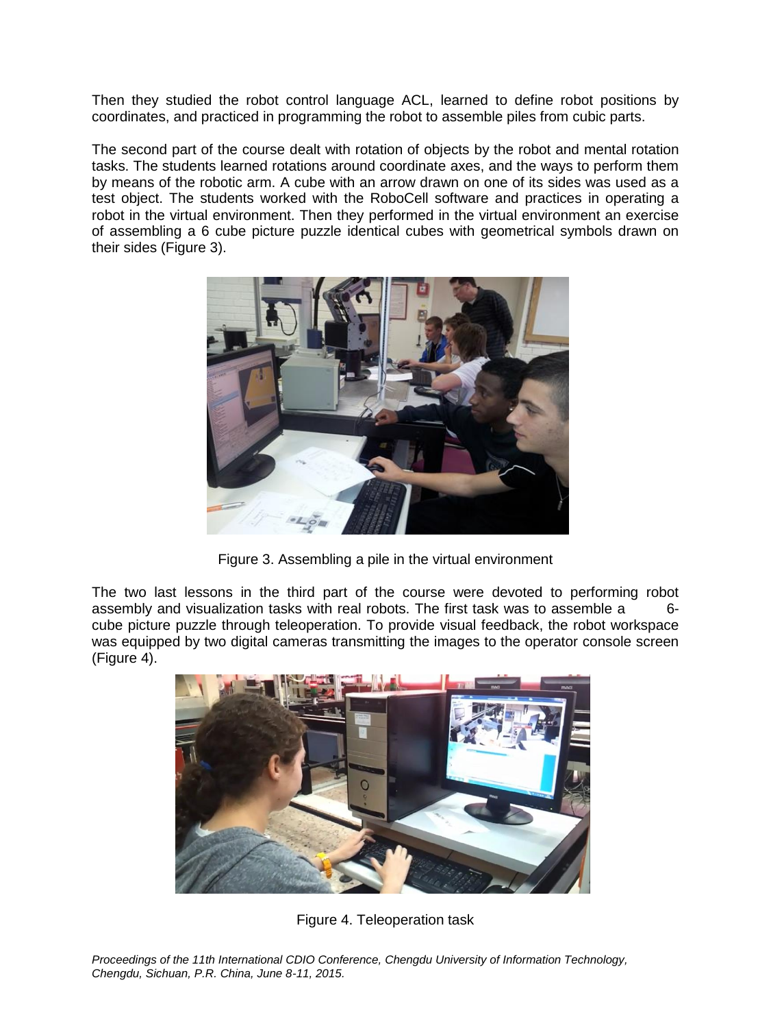Then they studied the robot control language ACL, learned to define robot positions by coordinates, and practiced in programming the robot to assemble piles from cubic parts.

The second part of the course dealt with rotation of objects by the robot and mental rotation tasks. The students learned rotations around coordinate axes, and the ways to perform them by means of the robotic arm. A cube with an arrow drawn on one of its sides was used as a test object. The students worked with the RoboCell software and practices in operating a robot in the virtual environment. Then they performed in the virtual environment an exercise of assembling a 6 cube picture puzzle identical cubes with geometrical symbols drawn on their sides (Figure 3).



Figure 3. Assembling a pile in the virtual environment

The two last lessons in the third part of the course were devoted to performing robot assembly and visualization tasks with real robots. The first task was to assemble a 6cube picture puzzle through teleoperation. To provide visual feedback, the robot workspace was equipped by two digital cameras transmitting the images to the operator console screen (Figure 4).



Figure 4. Teleoperation task

*Proceedings of the 11th International CDIO Conference, Chengdu University of Information Technology, Chengdu, Sichuan, P.R. China, June 8-11, 2015.*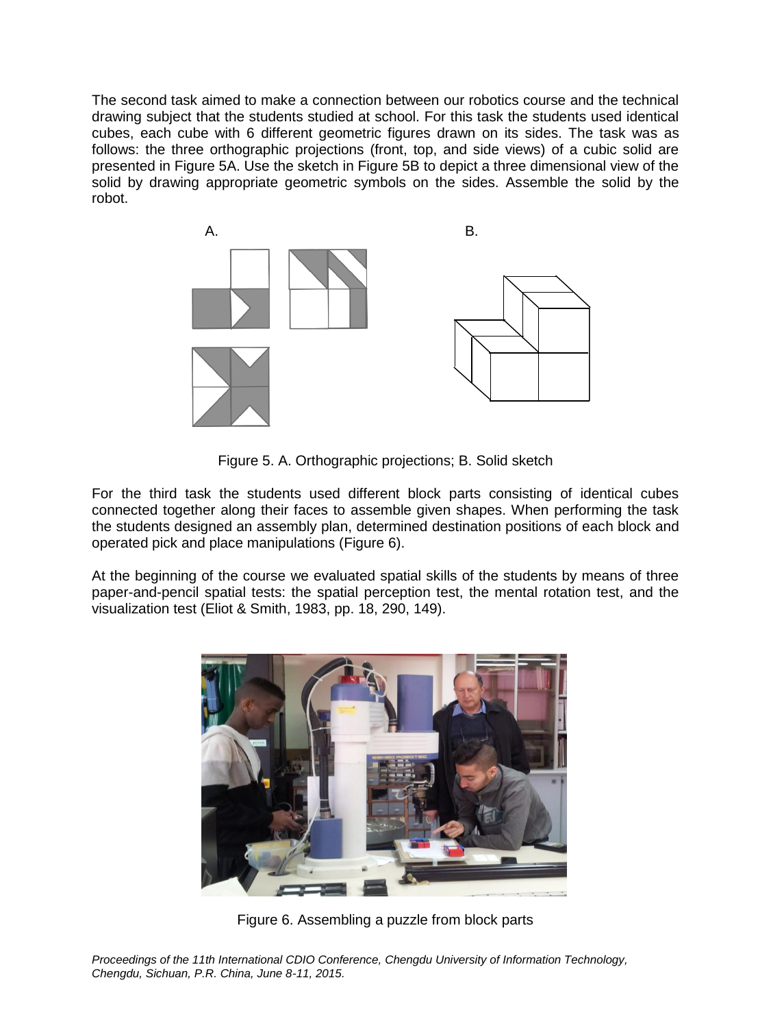The second task aimed to make a connection between our robotics course and the technical drawing subject that the students studied at school. For this task the students used identical cubes, each cube with 6 different geometric figures drawn on its sides. The task was as follows: the three orthographic projections (front, top, and side views) of a cubic solid are presented in Figure 5A. Use the sketch in Figure 5B to depict a three dimensional view of the solid by drawing appropriate geometric symbols on the sides. Assemble the solid by the robot.



Figure 5. A. Orthographic projections; B. Solid sketch

For the third task the students used different block parts consisting of identical cubes connected together along their faces to assemble given shapes. When performing the task the students designed an assembly plan, determined destination positions of each block and operated pick and place manipulations (Figure 6).

At the beginning of the course we evaluated spatial skills of the students by means of three paper-and-pencil spatial tests: the spatial perception test, the mental rotation test, and the visualization test (Eliot & Smith, 1983, pp. 18, 290, 149).



Figure 6. Assembling a puzzle from block parts

*Proceedings of the 11th International CDIO Conference, Chengdu University of Information Technology, Chengdu, Sichuan, P.R. China, June 8-11, 2015.*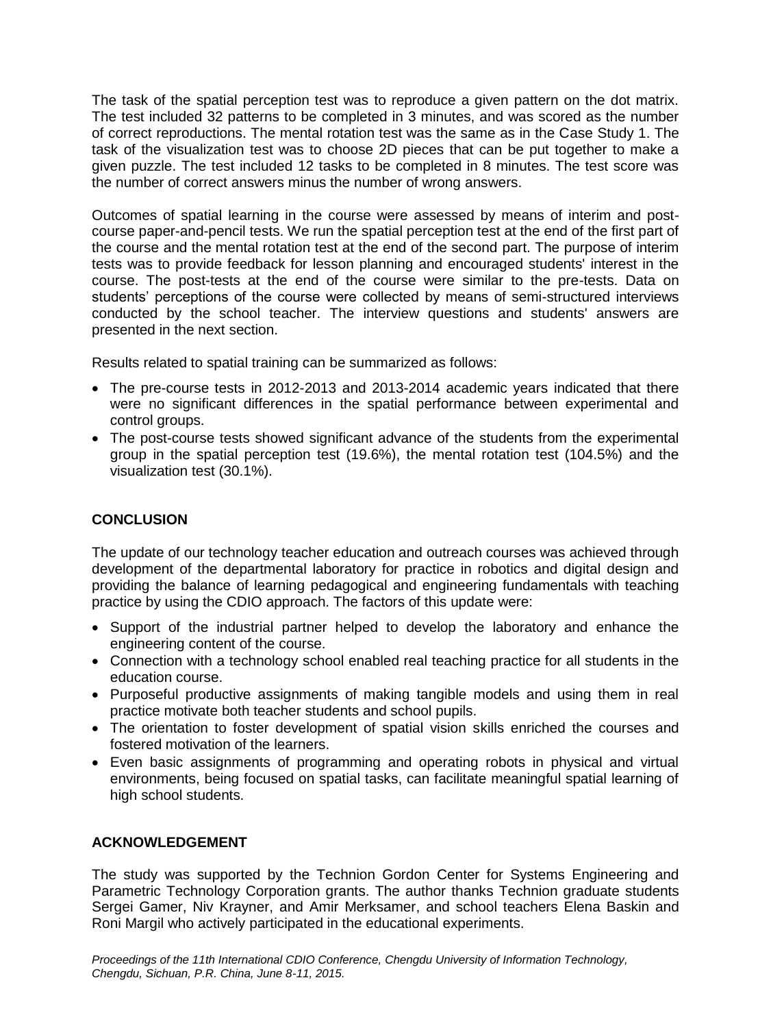The task of the spatial perception test was to reproduce a given pattern on the dot matrix. The test included 32 patterns to be completed in 3 minutes, and was scored as the number of correct reproductions. The mental rotation test was the same as in the Case Study 1. The task of the visualization test was to choose 2D pieces that can be put together to make a given puzzle. The test included 12 tasks to be completed in 8 minutes. The test score was the number of correct answers minus the number of wrong answers.

Outcomes of spatial learning in the course were assessed by means of interim and postcourse paper-and-pencil tests. We run the spatial perception test at the end of the first part of the course and the mental rotation test at the end of the second part. The purpose of interim tests was to provide feedback for lesson planning and encouraged students' interest in the course. The post-tests at the end of the course were similar to the pre-tests. Data on students' perceptions of the course were collected by means of semi-structured interviews conducted by the school teacher. The interview questions and students' answers are presented in the next section.

Results related to spatial training can be summarized as follows:

- The pre-course tests in 2012-2013 and 2013-2014 academic years indicated that there were no significant differences in the spatial performance between experimental and control groups.
- The post-course tests showed significant advance of the students from the experimental group in the spatial perception test (19.6%), the mental rotation test (104.5%) and the visualization test (30.1%).

# **CONCLUSION**

The update of our technology teacher education and outreach courses was achieved through development of the departmental laboratory for practice in robotics and digital design and providing the balance of learning pedagogical and engineering fundamentals with teaching practice by using the CDIO approach. The factors of this update were:

- Support of the industrial partner helped to develop the laboratory and enhance the engineering content of the course.
- Connection with a technology school enabled real teaching practice for all students in the education course.
- Purposeful productive assignments of making tangible models and using them in real practice motivate both teacher students and school pupils.
- The orientation to foster development of spatial vision skills enriched the courses and fostered motivation of the learners.
- Even basic assignments of programming and operating robots in physical and virtual environments, being focused on spatial tasks, can facilitate meaningful spatial learning of high school students.

### **ACKNOWLEDGEMENT**

The study was supported by the Technion Gordon Center for Systems Engineering and Parametric Technology Corporation grants. The author thanks Technion graduate students Sergei Gamer, Niv Krayner, and Amir Merksamer, and school teachers Elena Baskin and Roni Margil who actively participated in the educational experiments.